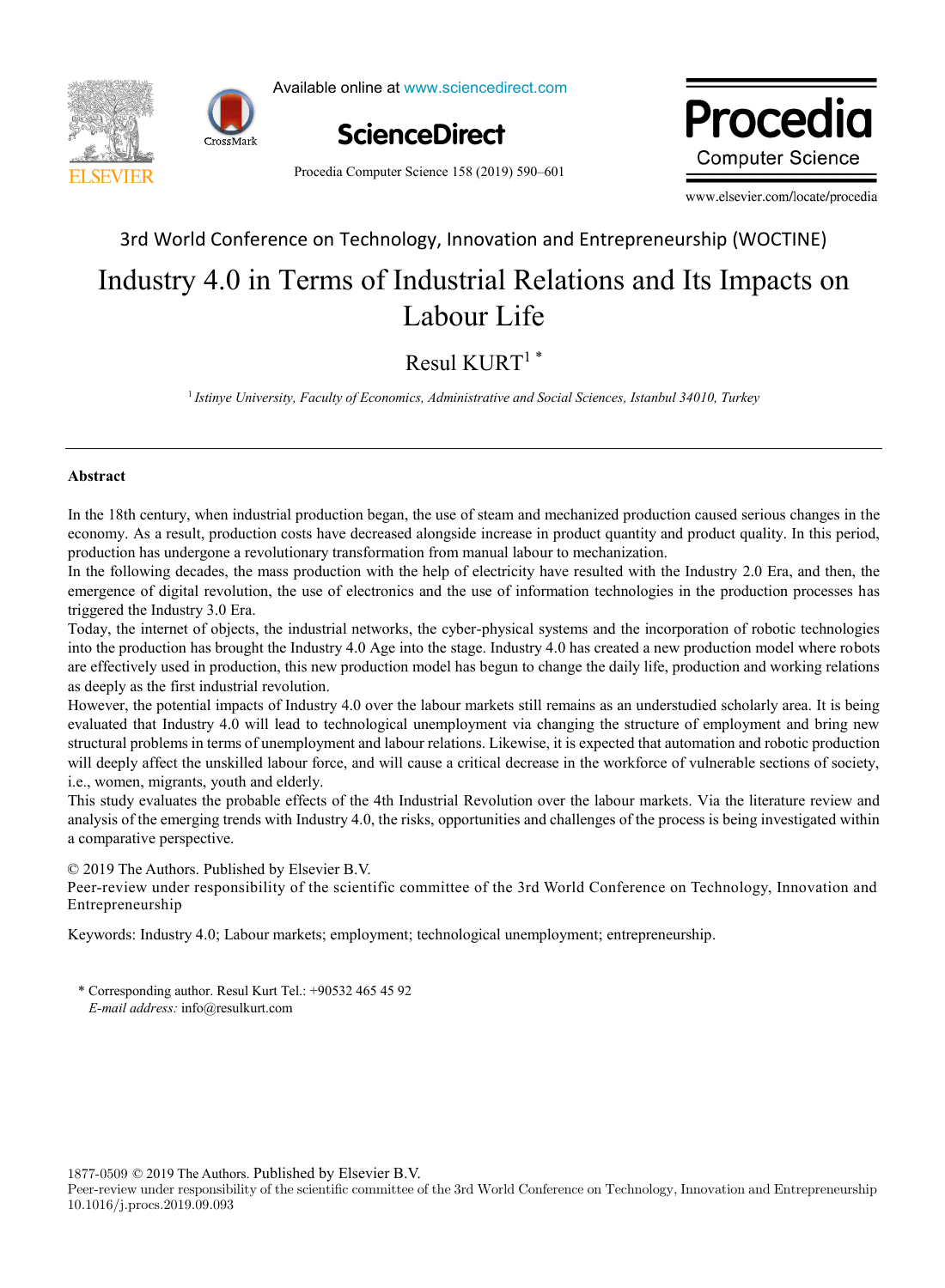



Available online at www.sciencedirect.com



Procedia Computer Science 158 (2019) 590–601

Procedia **Computer Science** 

www.elsevier.com/locate/procediate/proceding/

Industrial Relations www.elsevier.com/locate/pro

# 3rd World Conference on Technology, Innovation and Entrepreneurship (WOCTINE) Industry 4.0 in Terms of Industrial Relations and Its Impacts on <sup>1</sup> *Istinye University, Faculty of Economics, Administrative and Social Sciences, Istanbul 34010, Turkey* Labour Life

Resul KURT<sup>1\*</sup>

<sup>1</sup> *Istinye University, Faculty of Economics, Administrative and Social Sciences, Istanbul 34010, Turkey*

#### production has undergone a revolutionary transformation from manual labour to mechanization. The mechanization of mechanization from manual labour to mechanization. The mechanization of mechanization. The mechanization of **Abstract**

In the 18th century, when industrial production began, the use of steam and mechanized production caused serious changes in the economy. As a result, production costs have decreased alongside increase in product quantity and product quality. In this period, production has undergone a revolutionary transformation from manual labour to mechanization.

In the following decades, the mass production with the help of electricity have resulted with the Industry 2.0 Era, and then, the emergence of digital revolution, the use of electronics and the use of information technologies in the production processes has triggered the Industry 3.0 Era.

Today, the internet of objects, the industrial networks, the cyber-physical systems and the incorporation of robotic technologies into the production has brought the Industry 4.0 Age into the stage. Industry 4.0 has created a new production model where robots are effectively used in production, this new production model has begun to change the daily life, production and working relations as deeply as the first industrial revolution.

However, the potential impacts of Industry 4.0 over the labour markets still remains as an understudied scholarly area. It is being evaluated that Industry 4.0 will lead to technological unemployment via changing the structure of employment and bring new structural problems in terms of unemployment and labour relations. Likewise, it is expected that automation and robotic production will deeply affect the unskilled labour force, and will cause a critical decrease in the workforce of vulnerable sections of society, i.e., women, migrants, youth and elderly.

analysis of the emerging trends with Industry 4.0, the risks, opportunities and challenges of the process is being investigated within Peer-review under responsibility of the scientific committee of the 3rd World Conference on Technology, Innovation and This study evaluates the probable effects of the 4th Industrial Revolution over the labour markets. Via the literature review and a comparative perspective.

© 2019 The Authors. Published by Elsevier B.V.

Peer-review under responsibility of the scientific committee of the 3rd World Conference on Technology, Innovation and Entrepreneurship

Keywords: Industry 4.0; Labour markets; employment; technological unemployment; entrepreneurship. Key words. maast

\* Corresponding author. Resul Kurt Tel.: +90532 465 45 92 *E-mail address:* info@resulkurt.com

1877-0509 © 2019 The Authors. Published by Elsevier B.V.

Peer-review under responsibility of the scientific committee of the 3rd World Conference on Technology, Innovation and Entrepreneurship 10.1016/j.procs.2019.09.093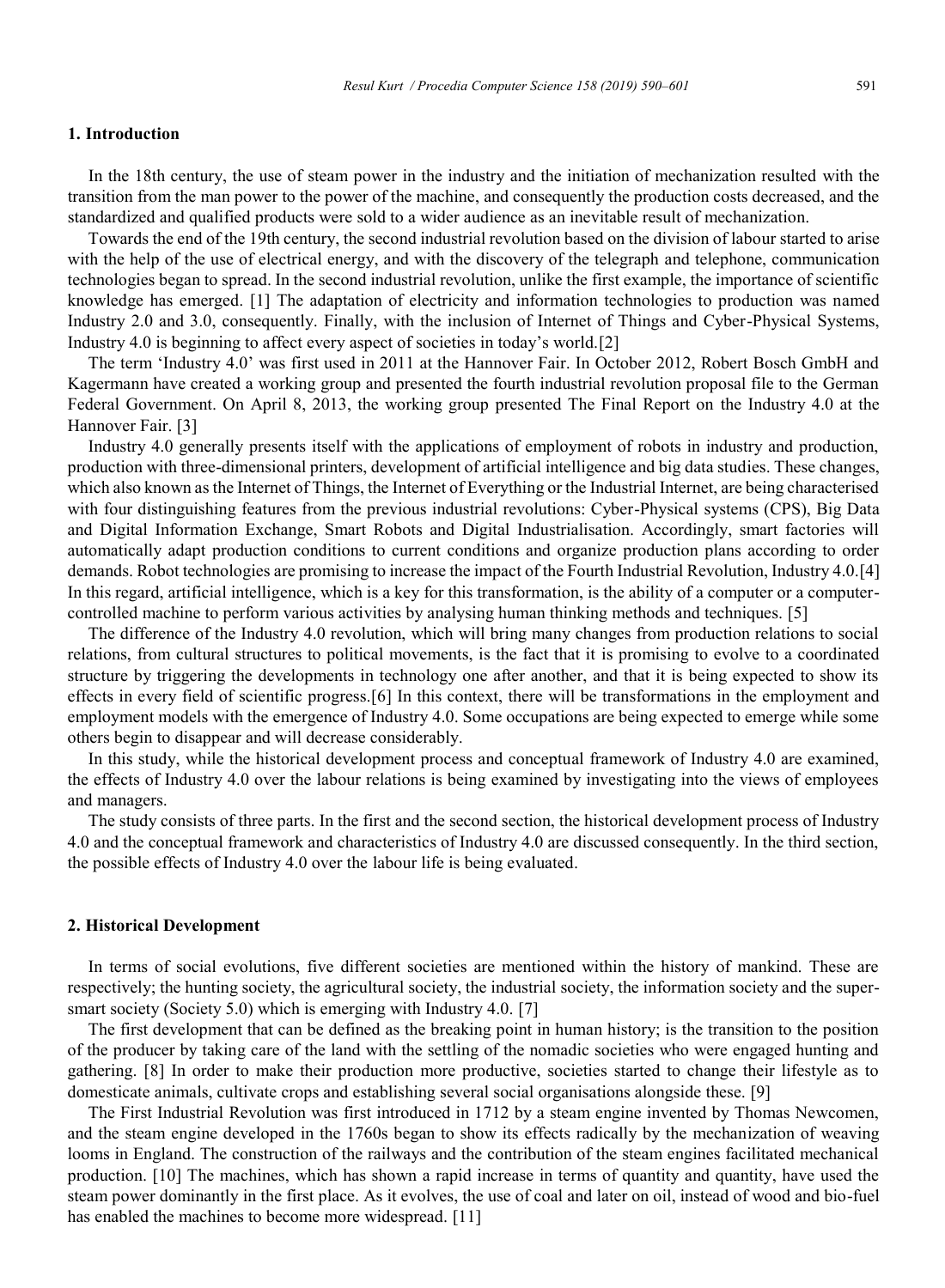#### **1. Introduction**

In the 18th century, the use of steam power in the industry and the initiation of mechanization resulted with the transition from the man power to the power of the machine, and consequently the production costs decreased, and the standardized and qualified products were sold to a wider audience as an inevitable result of mechanization.

Towards the end of the 19th century, the second industrial revolution based on the division of labour started to arise with the help of the use of electrical energy, and with the discovery of the telegraph and telephone, communication technologies began to spread. In the second industrial revolution, unlike the first example, the importance of scientific knowledge has emerged. [1] The adaptation of electricity and information technologies to production was named Industry 2.0 and 3.0, consequently. Finally, with the inclusion of Internet of Things and Cyber-Physical Systems, Industry 4.0 is beginning to affect every aspect of societies in today's world.[2]

The term 'Industry 4.0' was first used in 2011 at the Hannover Fair. In October 2012, Robert Bosch GmbH and Kagermann have created a working group and presented the fourth industrial revolution proposal file to the German Federal Government. On April 8, 2013, the working group presented The Final Report on the Industry 4.0 at the Hannover Fair. [3]

Industry 4.0 generally presents itself with the applications of employment of robots in industry and production, production with three-dimensional printers, development of artificial intelligence and big data studies. These changes, which also known as the Internet of Things, the Internet of Everything or the Industrial Internet, are being characterised with four distinguishing features from the previous industrial revolutions: Cyber-Physical systems (CPS), Big Data and Digital Information Exchange, Smart Robots and Digital Industrialisation. Accordingly, smart factories will automatically adapt production conditions to current conditions and organize production plans according to order demands. Robot technologies are promising to increase the impact of the Fourth Industrial Revolution, Industry 4.0.[4] In this regard, artificial intelligence, which is a key for this transformation, is the ability of a computer or a computercontrolled machine to perform various activities by analysing human thinking methods and techniques. [5]

The difference of the Industry 4.0 revolution, which will bring many changes from production relations to social relations, from cultural structures to political movements, is the fact that it is promising to evolve to a coordinated structure by triggering the developments in technology one after another, and that it is being expected to show its effects in every field of scientific progress.[6] In this context, there will be transformations in the employment and employment models with the emergence of Industry 4.0. Some occupations are being expected to emerge while some others begin to disappear and will decrease considerably.

In this study, while the historical development process and conceptual framework of Industry 4.0 are examined, the effects of Industry 4.0 over the labour relations is being examined by investigating into the views of employees and managers.

The study consists of three parts. In the first and the second section, the historical development process of Industry 4.0 and the conceptual framework and characteristics of Industry 4.0 are discussed consequently. In the third section, the possible effects of Industry 4.0 over the labour life is being evaluated.

#### **2. Historical Development**

In terms of social evolutions, five different societies are mentioned within the history of mankind. These are respectively; the hunting society, the agricultural society, the industrial society, the information society and the supersmart society (Society 5.0) which is emerging with Industry 4.0. [7]

The first development that can be defined as the breaking point in human history; is the transition to the position of the producer by taking care of the land with the settling of the nomadic societies who were engaged hunting and gathering. [8] In order to make their production more productive, societies started to change their lifestyle as to domesticate animals, cultivate crops and establishing several social organisations alongside these. [9]

The First Industrial Revolution was first introduced in 1712 by a steam engine invented by Thomas Newcomen, and the steam engine developed in the 1760s began to show its effects radically by the mechanization of weaving looms in England. The construction of the railways and the contribution of the steam engines facilitated mechanical production. [10] The machines, which has shown a rapid increase in terms of quantity and quantity, have used the steam power dominantly in the first place. As it evolves, the use of coal and later on oil, instead of wood and bio-fuel has enabled the machines to become more widespread. [11]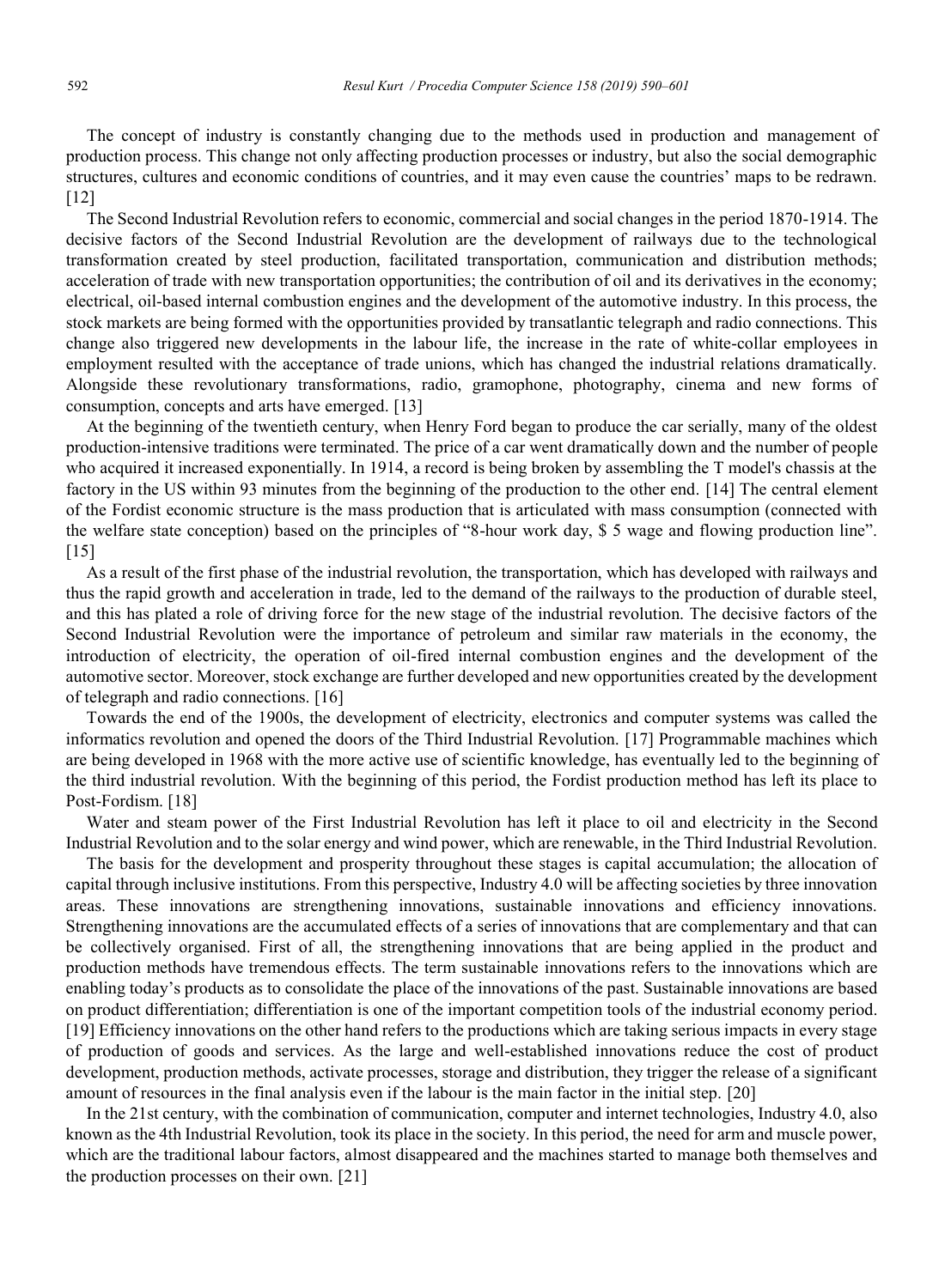The concept of industry is constantly changing due to the methods used in production and management of production process. This change not only affecting production processes or industry, but also the social demographic structures, cultures and economic conditions of countries, and it may even cause the countries' maps to be redrawn. [12]

The Second Industrial Revolution refers to economic, commercial and social changes in the period 1870-1914. The decisive factors of the Second Industrial Revolution are the development of railways due to the technological transformation created by steel production, facilitated transportation, communication and distribution methods; acceleration of trade with new transportation opportunities; the contribution of oil and its derivatives in the economy; electrical, oil-based internal combustion engines and the development of the automotive industry. In this process, the stock markets are being formed with the opportunities provided by transatlantic telegraph and radio connections. This change also triggered new developments in the labour life, the increase in the rate of white-collar employees in employment resulted with the acceptance of trade unions, which has changed the industrial relations dramatically. Alongside these revolutionary transformations, radio, gramophone, photography, cinema and new forms of consumption, concepts and arts have emerged. [13]

At the beginning of the twentieth century, when Henry Ford began to produce the car serially, many of the oldest production-intensive traditions were terminated. The price of a car went dramatically down and the number of people who acquired it increased exponentially. In 1914, a record is being broken by assembling the T model's chassis at the factory in the US within 93 minutes from the beginning of the production to the other end. [14] The central element of the Fordist economic structure is the mass production that is articulated with mass consumption (connected with the welfare state conception) based on the principles of "8-hour work day, \$ 5 wage and flowing production line". [15]

As a result of the first phase of the industrial revolution, the transportation, which has developed with railways and thus the rapid growth and acceleration in trade, led to the demand of the railways to the production of durable steel, and this has plated a role of driving force for the new stage of the industrial revolution. The decisive factors of the Second Industrial Revolution were the importance of petroleum and similar raw materials in the economy, the introduction of electricity, the operation of oil-fired internal combustion engines and the development of the automotive sector. Moreover, stock exchange are further developed and new opportunities created by the development of telegraph and radio connections. [16]

Towards the end of the 1900s, the development of electricity, electronics and computer systems was called the informatics revolution and opened the doors of the Third Industrial Revolution. [17] Programmable machines which are being developed in 1968 with the more active use of scientific knowledge, has eventually led to the beginning of the third industrial revolution. With the beginning of this period, the Fordist production method has left its place to Post-Fordism. [18]

Water and steam power of the First Industrial Revolution has left it place to oil and electricity in the Second Industrial Revolution and to the solar energy and wind power, which are renewable, in the Third Industrial Revolution.

The basis for the development and prosperity throughout these stages is capital accumulation; the allocation of capital through inclusive institutions. From this perspective, Industry 4.0 will be affecting societies by three innovation areas. These innovations are strengthening innovations, sustainable innovations and efficiency innovations. Strengthening innovations are the accumulated effects of a series of innovations that are complementary and that can be collectively organised. First of all, the strengthening innovations that are being applied in the product and production methods have tremendous effects. The term sustainable innovations refers to the innovations which are enabling today's products as to consolidate the place of the innovations of the past. Sustainable innovations are based on product differentiation; differentiation is one of the important competition tools of the industrial economy period. [19] Efficiency innovations on the other hand refers to the productions which are taking serious impacts in every stage of production of goods and services. As the large and well-established innovations reduce the cost of product development, production methods, activate processes, storage and distribution, they trigger the release of a significant amount of resources in the final analysis even if the labour is the main factor in the initial step. [20]

In the 21st century, with the combination of communication, computer and internet technologies, Industry 4.0, also known as the 4th Industrial Revolution, took its place in the society. In this period, the need for arm and muscle power, which are the traditional labour factors, almost disappeared and the machines started to manage both themselves and the production processes on their own. [21]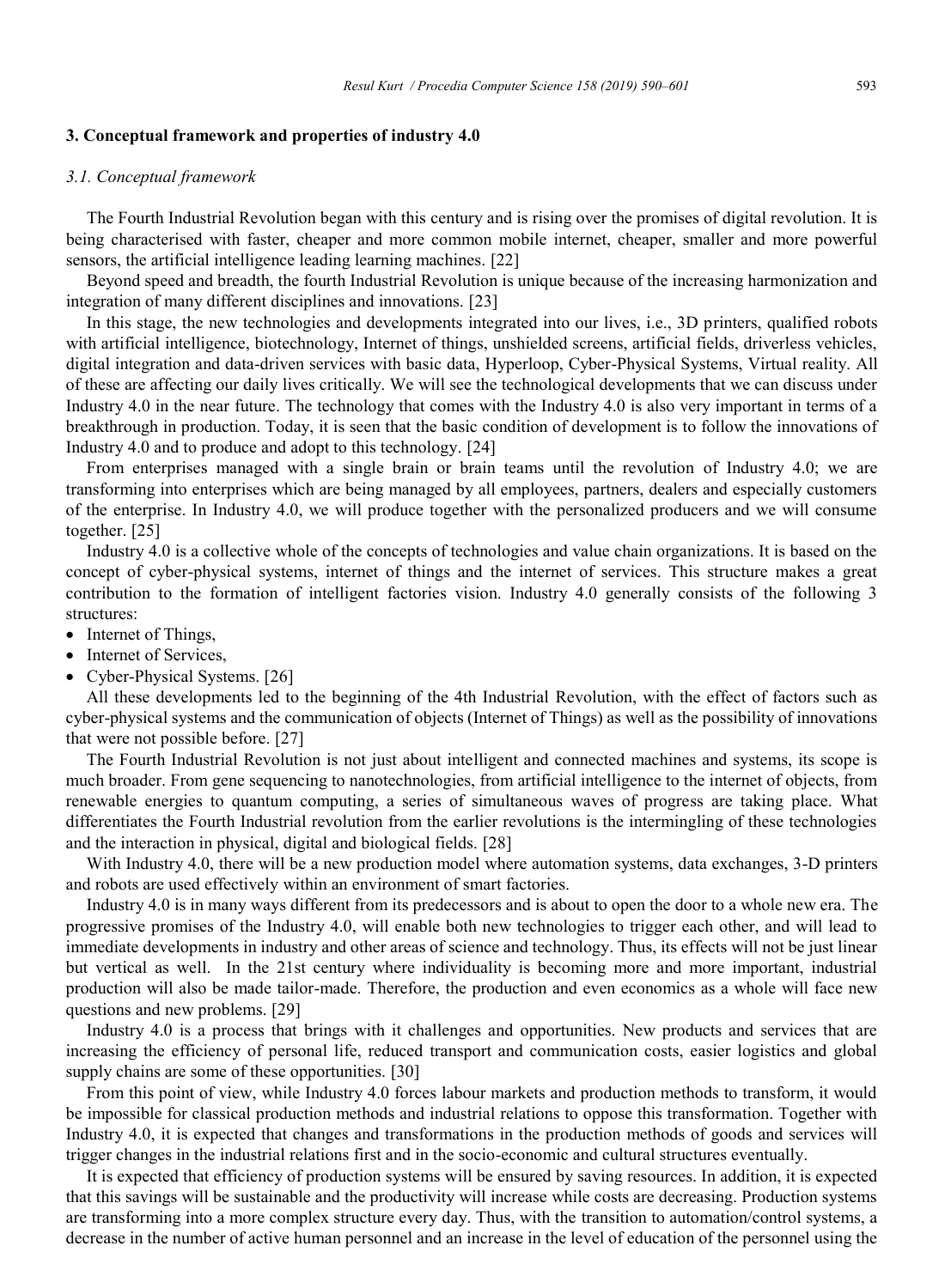#### **3. Conceptual framework and properties of industry 4.0**

#### *3.1. Conceptual framework*

The Fourth Industrial Revolution began with this century and is rising over the promises of digital revolution. It is being characterised with faster, cheaper and more common mobile internet, cheaper, smaller and more powerful sensors, the artificial intelligence leading learning machines. [22]

Beyond speed and breadth, the fourth Industrial Revolution is unique because of the increasing harmonization and integration of many different disciplines and innovations. [23]

In this stage, the new technologies and developments integrated into our lives, i.e., 3D printers, qualified robots with artificial intelligence, biotechnology, Internet of things, unshielded screens, artificial fields, driverless vehicles, digital integration and data-driven services with basic data, Hyperloop, Cyber-Physical Systems, Virtual reality. All of these are affecting our daily lives critically. We will see the technological developments that we can discuss under Industry 4.0 in the near future. The technology that comes with the Industry 4.0 is also very important in terms of a breakthrough in production. Today, it is seen that the basic condition of development is to follow the innovations of Industry 4.0 and to produce and adopt to this technology. [24]

From enterprises managed with a single brain or brain teams until the revolution of Industry 4.0; we are transforming into enterprises which are being managed by all employees, partners, dealers and especially customers of the enterprise. In Industry 4.0, we will produce together with the personalized producers and we will consume together. [25]

Industry 4.0 is a collective whole of the concepts of technologies and value chain organizations. It is based on the concept of cyber-physical systems, internet of things and the internet of services. This structure makes a great contribution to the formation of intelligent factories vision. Industry 4.0 generally consists of the following 3 structures:

- Internet of Things,
- Internet of Services,
- Cyber-Physical Systems. [26]

All these developments led to the beginning of the 4th Industrial Revolution, with the effect of factors such as cyber-physical systems and the communication of objects (Internet of Things) as well as the possibility of innovations that were not possible before. [27]

The Fourth Industrial Revolution is not just about intelligent and connected machines and systems, its scope is much broader. From gene sequencing to nanotechnologies, from artificial intelligence to the internet of objects, from renewable energies to quantum computing, a series of simultaneous waves of progress are taking place. What differentiates the Fourth Industrial revolution from the earlier revolutions is the intermingling of these technologies and the interaction in physical, digital and biological fields. [28]

With Industry 4.0, there will be a new production model where automation systems, data exchanges, 3-D printers and robots are used effectively within an environment of smart factories.

Industry 4.0 is in many ways different from its predecessors and is about to open the door to a whole new era. The progressive promises of the Industry 4.0, will enable both new technologies to trigger each other, and will lead to immediate developments in industry and other areas of science and technology. Thus, its effects will not be just linear but vertical as well. In the 21st century where individuality is becoming more and more important, industrial production will also be made tailor-made. Therefore, the production and even economics as a whole will face new questions and new problems. [29]

Industry 4.0 is a process that brings with it challenges and opportunities. New products and services that are increasing the efficiency of personal life, reduced transport and communication costs, easier logistics and global supply chains are some of these opportunities. [30]

From this point of view, while Industry 4.0 forces labour markets and production methods to transform, it would be impossible for classical production methods and industrial relations to oppose this transformation. Together with Industry 4.0, it is expected that changes and transformations in the production methods of goods and services will trigger changes in the industrial relations first and in the socio-economic and cultural structures eventually.

It is expected that efficiency of production systems will be ensured by saving resources. In addition, it is expected that this savings will be sustainable and the productivity will increase while costs are decreasing. Production systems are transforming into a more complex structure every day. Thus, with the transition to automation/control systems, a decrease in the number of active human personnel and an increase in the level of education of the personnel using the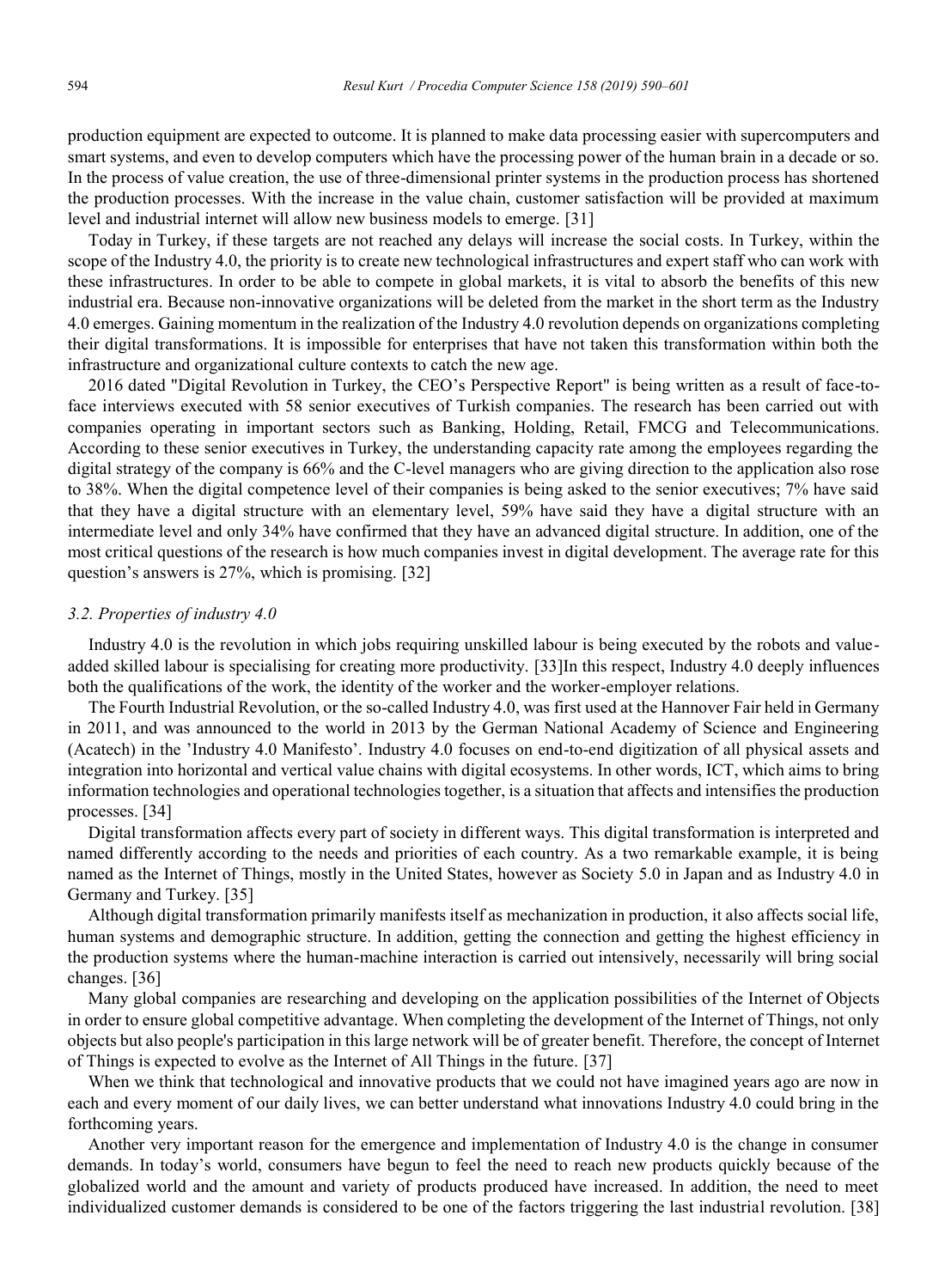production equipment are expected to outcome. It is planned to make data processing easier with supercomputers and smart systems, and even to develop computers which have the processing power of the human brain in a decade or so. In the process of value creation, the use of three-dimensional printer systems in the production process has shortened the production processes. With the increase in the value chain, customer satisfaction will be provided at maximum level and industrial internet will allow new business models to emerge. [31]

Today in Turkey, if these targets are not reached any delays will increase the social costs. In Turkey, within the scope of the Industry 4.0, the priority is to create new technological infrastructures and expert staff who can work with these infrastructures. In order to be able to compete in global markets, it is vital to absorb the benefits of this new industrial era. Because non-innovative organizations will be deleted from the market in the short term as the Industry 4.0 emerges. Gaining momentum in the realization of the Industry 4.0 revolution depends on organizations completing their digital transformations. It is impossible for enterprises that have not taken this transformation within both the infrastructure and organizational culture contexts to catch the new age.

2016 dated "Digital Revolution in Turkey, the CEO's Perspective Report" is being written as a result of face-toface interviews executed with 58 senior executives of Turkish companies. The research has been carried out with companies operating in important sectors such as Banking, Holding, Retail, FMCG and Telecommunications. According to these senior executives in Turkey, the understanding capacity rate among the employees regarding the digital strategy of the company is 66% and the C-level managers who are giving direction to the application also rose to 38%. When the digital competence level of their companies is being asked to the senior executives; 7% have said that they have a digital structure with an elementary level, 59% have said they have a digital structure with an intermediate level and only 34% have confirmed that they have an advanced digital structure. In addition, one of the most critical questions of the research is how much companies invest in digital development. The average rate for this question's answers is 27%, which is promising. [32]

#### *3.2. Properties of industry 4.0*

Industry 4.0 is the revolution in which jobs requiring unskilled labour is being executed by the robots and valueadded skilled labour is specialising for creating more productivity. [33]In this respect, Industry 4.0 deeply influences both the qualifications of the work, the identity of the worker and the worker-employer relations.

The Fourth Industrial Revolution, or the so-called Industry 4.0, was first used at the Hannover Fair held in Germany in 2011, and was announced to the world in 2013 by the German National Academy of Science and Engineering (Acatech) in the 'Industry 4.0 Manifesto'. Industry 4.0 focuses on end-to-end digitization of all physical assets and integration into horizontal and vertical value chains with digital ecosystems. In other words, ICT, which aims to bring information technologies and operational technologies together, is a situation that affects and intensifies the production processes. [34]

Digital transformation affects every part of society in different ways. This digital transformation is interpreted and named differently according to the needs and priorities of each country. As a two remarkable example, it is being named as the Internet of Things, mostly in the United States, however as Society 5.0 in Japan and as Industry 4.0 in Germany and Turkey. [35]

Although digital transformation primarily manifests itself as mechanization in production, it also affects social life, human systems and demographic structure. In addition, getting the connection and getting the highest efficiency in the production systems where the human-machine interaction is carried out intensively, necessarily will bring social changes. [36]

Many global companies are researching and developing on the application possibilities of the Internet of Objects in order to ensure global competitive advantage. When completing the development of the Internet of Things, not only objects but also people's participation in this large network will be of greater benefit. Therefore, the concept of Internet of Things is expected to evolve as the Internet of All Things in the future. [37]

When we think that technological and innovative products that we could not have imagined years ago are now in each and every moment of our daily lives, we can better understand what innovations Industry 4.0 could bring in the forthcoming years.

Another very important reason for the emergence and implementation of Industry 4.0 is the change in consumer demands. In today's world, consumers have begun to feel the need to reach new products quickly because of the globalized world and the amount and variety of products produced have increased. In addition, the need to meet individualized customer demands is considered to be one of the factors triggering the last industrial revolution. [38]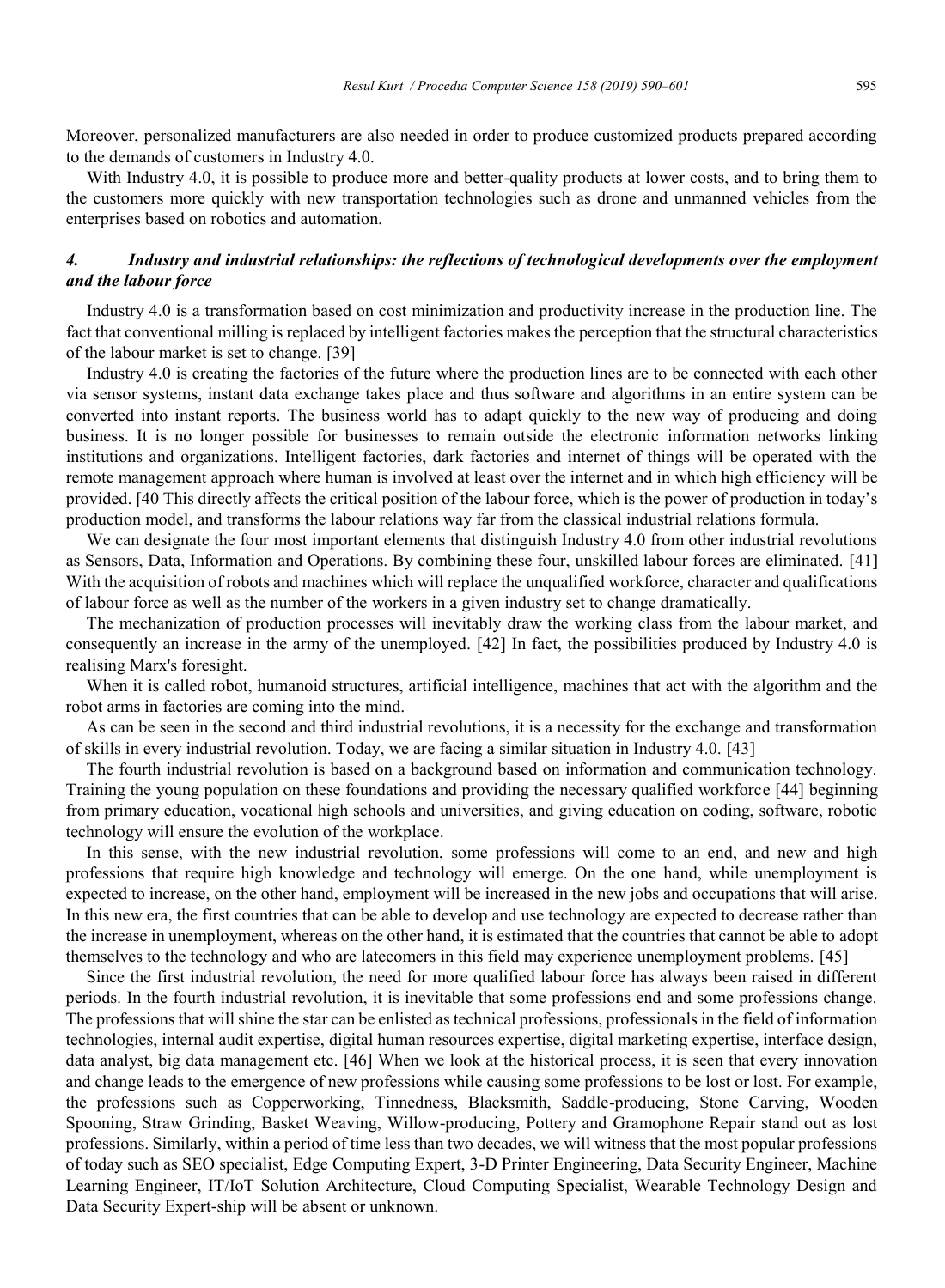Moreover, personalized manufacturers are also needed in order to produce customized products prepared according to the demands of customers in Industry 4.0.

With Industry 4.0, it is possible to produce more and better-quality products at lower costs, and to bring them to the customers more quickly with new transportation technologies such as drone and unmanned vehicles from the enterprises based on robotics and automation.

# *4. Industry and industrial relationships: the reflections of technological developments over the employment and the labour force*

Industry 4.0 is a transformation based on cost minimization and productivity increase in the production line. The fact that conventional milling is replaced by intelligent factories makes the perception that the structural characteristics of the labour market is set to change. [39]

Industry 4.0 is creating the factories of the future where the production lines are to be connected with each other via sensor systems, instant data exchange takes place and thus software and algorithms in an entire system can be converted into instant reports. The business world has to adapt quickly to the new way of producing and doing business. It is no longer possible for businesses to remain outside the electronic information networks linking institutions and organizations. Intelligent factories, dark factories and internet of things will be operated with the remote management approach where human is involved at least over the internet and in which high efficiency will be provided. [40 This directly affects the critical position of the labour force, which is the power of production in today's production model, and transforms the labour relations way far from the classical industrial relations formula.

We can designate the four most important elements that distinguish Industry 4.0 from other industrial revolutions as Sensors, Data, Information and Operations. By combining these four, unskilled labour forces are eliminated. [41] With the acquisition of robots and machines which will replace the unqualified workforce, character and qualifications of labour force as well as the number of the workers in a given industry set to change dramatically.

The mechanization of production processes will inevitably draw the working class from the labour market, and consequently an increase in the army of the unemployed. [42] In fact, the possibilities produced by Industry 4.0 is realising Marx's foresight.

When it is called robot, humanoid structures, artificial intelligence, machines that act with the algorithm and the robot arms in factories are coming into the mind.

As can be seen in the second and third industrial revolutions, it is a necessity for the exchange and transformation of skills in every industrial revolution. Today, we are facing a similar situation in Industry 4.0. [43]

The fourth industrial revolution is based on a background based on information and communication technology. Training the young population on these foundations and providing the necessary qualified workforce [44] beginning from primary education, vocational high schools and universities, and giving education on coding, software, robotic technology will ensure the evolution of the workplace.

In this sense, with the new industrial revolution, some professions will come to an end, and new and high professions that require high knowledge and technology will emerge. On the one hand, while unemployment is expected to increase, on the other hand, employment will be increased in the new jobs and occupations that will arise. In this new era, the first countries that can be able to develop and use technology are expected to decrease rather than the increase in unemployment, whereas on the other hand, it is estimated that the countries that cannot be able to adopt themselves to the technology and who are latecomers in this field may experience unemployment problems. [45]

Since the first industrial revolution, the need for more qualified labour force has always been raised in different periods. In the fourth industrial revolution, it is inevitable that some professions end and some professions change. The professions that will shine the star can be enlisted as technical professions, professionals in the field of information technologies, internal audit expertise, digital human resources expertise, digital marketing expertise, interface design, data analyst, big data management etc. [46] When we look at the historical process, it is seen that every innovation and change leads to the emergence of new professions while causing some professions to be lost or lost. For example, the professions such as Copperworking, Tinnedness, Blacksmith, Saddle-producing, Stone Carving, Wooden Spooning, Straw Grinding, Basket Weaving, Willow-producing, Pottery and Gramophone Repair stand out as lost professions. Similarly, within a period of time less than two decades, we will witness that the most popular professions of today such as SEO specialist, Edge Computing Expert, 3-D Printer Engineering, Data Security Engineer, Machine Learning Engineer, IT/IoT Solution Architecture, Cloud Computing Specialist, Wearable Technology Design and Data Security Expert-ship will be absent or unknown.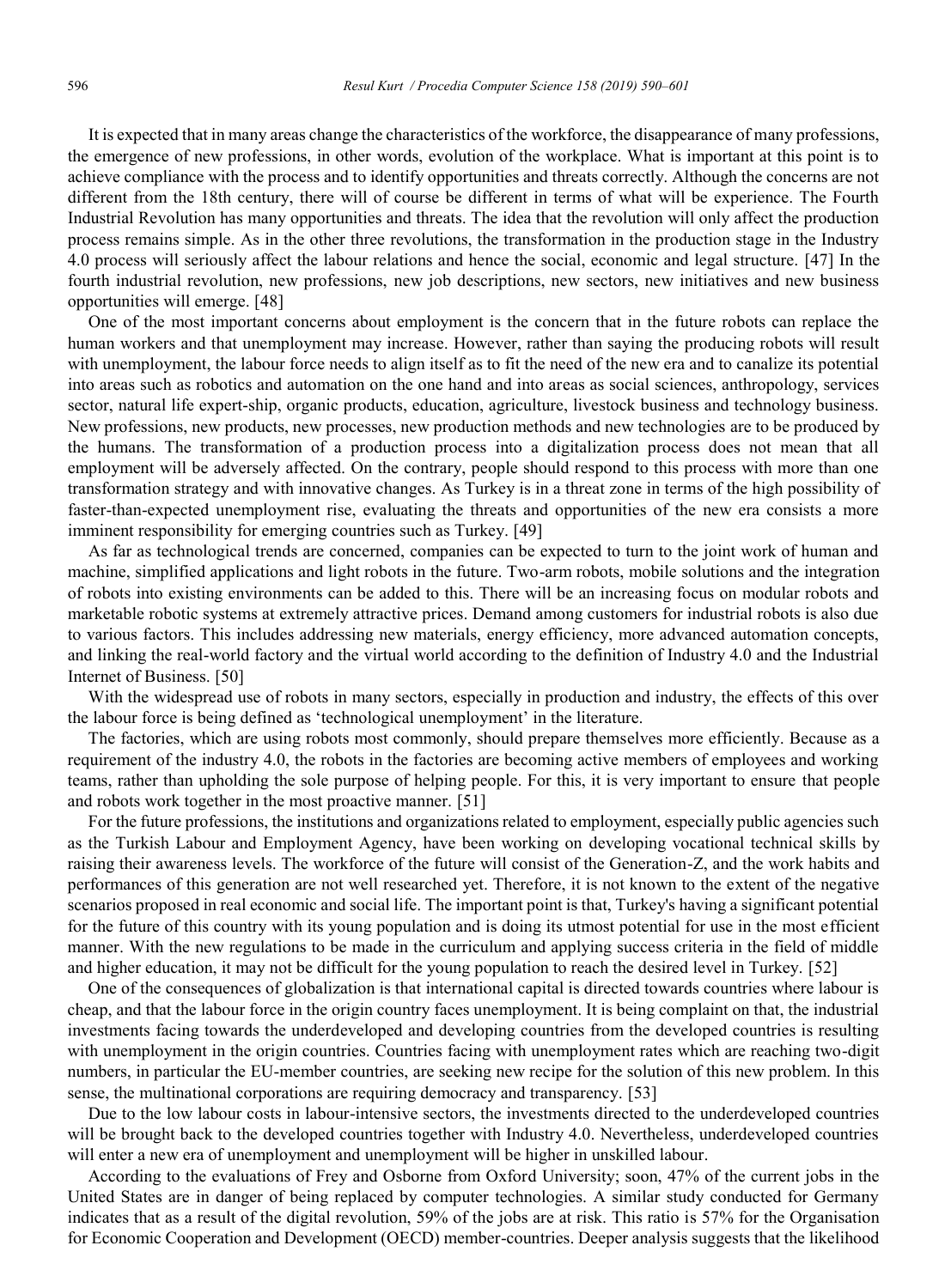It is expected that in many areas change the characteristics of the workforce, the disappearance of many professions, the emergence of new professions, in other words, evolution of the workplace. What is important at this point is to achieve compliance with the process and to identify opportunities and threats correctly. Although the concerns are not different from the 18th century, there will of course be different in terms of what will be experience. The Fourth Industrial Revolution has many opportunities and threats. The idea that the revolution will only affect the production process remains simple. As in the other three revolutions, the transformation in the production stage in the Industry 4.0 process will seriously affect the labour relations and hence the social, economic and legal structure. [47] In the fourth industrial revolution, new professions, new job descriptions, new sectors, new initiatives and new business opportunities will emerge. [48]

One of the most important concerns about employment is the concern that in the future robots can replace the human workers and that unemployment may increase. However, rather than saying the producing robots will result with unemployment, the labour force needs to align itself as to fit the need of the new era and to canalize its potential into areas such as robotics and automation on the one hand and into areas as social sciences, anthropology, services sector, natural life expert-ship, organic products, education, agriculture, livestock business and technology business. New professions, new products, new processes, new production methods and new technologies are to be produced by the humans. The transformation of a production process into a digitalization process does not mean that all employment will be adversely affected. On the contrary, people should respond to this process with more than one transformation strategy and with innovative changes. As Turkey is in a threat zone in terms of the high possibility of faster-than-expected unemployment rise, evaluating the threats and opportunities of the new era consists a more imminent responsibility for emerging countries such as Turkey. [49]

As far as technological trends are concerned, companies can be expected to turn to the joint work of human and machine, simplified applications and light robots in the future. Two-arm robots, mobile solutions and the integration of robots into existing environments can be added to this. There will be an increasing focus on modular robots and marketable robotic systems at extremely attractive prices. Demand among customers for industrial robots is also due to various factors. This includes addressing new materials, energy efficiency, more advanced automation concepts, and linking the real-world factory and the virtual world according to the definition of Industry 4.0 and the Industrial Internet of Business. [50]

With the widespread use of robots in many sectors, especially in production and industry, the effects of this over the labour force is being defined as 'technological unemployment' in the literature.

The factories, which are using robots most commonly, should prepare themselves more efficiently. Because as a requirement of the industry 4.0, the robots in the factories are becoming active members of employees and working teams, rather than upholding the sole purpose of helping people. For this, it is very important to ensure that people and robots work together in the most proactive manner. [51]

For the future professions, the institutions and organizations related to employment, especially public agencies such as the Turkish Labour and Employment Agency, have been working on developing vocational technical skills by raising their awareness levels. The workforce of the future will consist of the Generation-Z, and the work habits and performances of this generation are not well researched yet. Therefore, it is not known to the extent of the negative scenarios proposed in real economic and social life. The important point is that, Turkey's having a significant potential for the future of this country with its young population and is doing its utmost potential for use in the most efficient manner. With the new regulations to be made in the curriculum and applying success criteria in the field of middle and higher education, it may not be difficult for the young population to reach the desired level in Turkey. [52]

One of the consequences of globalization is that international capital is directed towards countries where labour is cheap, and that the labour force in the origin country faces unemployment. It is being complaint on that, the industrial investments facing towards the underdeveloped and developing countries from the developed countries is resulting with unemployment in the origin countries. Countries facing with unemployment rates which are reaching two-digit numbers, in particular the EU-member countries, are seeking new recipe for the solution of this new problem. In this sense, the multinational corporations are requiring democracy and transparency. [53]

Due to the low labour costs in labour-intensive sectors, the investments directed to the underdeveloped countries will be brought back to the developed countries together with Industry 4.0. Nevertheless, underdeveloped countries will enter a new era of unemployment and unemployment will be higher in unskilled labour.

According to the evaluations of Frey and Osborne from Oxford University; soon, 47% of the current jobs in the United States are in danger of being replaced by computer technologies. A similar study conducted for Germany indicates that as a result of the digital revolution, 59% of the jobs are at risk. This ratio is 57% for the Organisation for Economic Cooperation and Development (OECD) member-countries. Deeper analysis suggests that the likelihood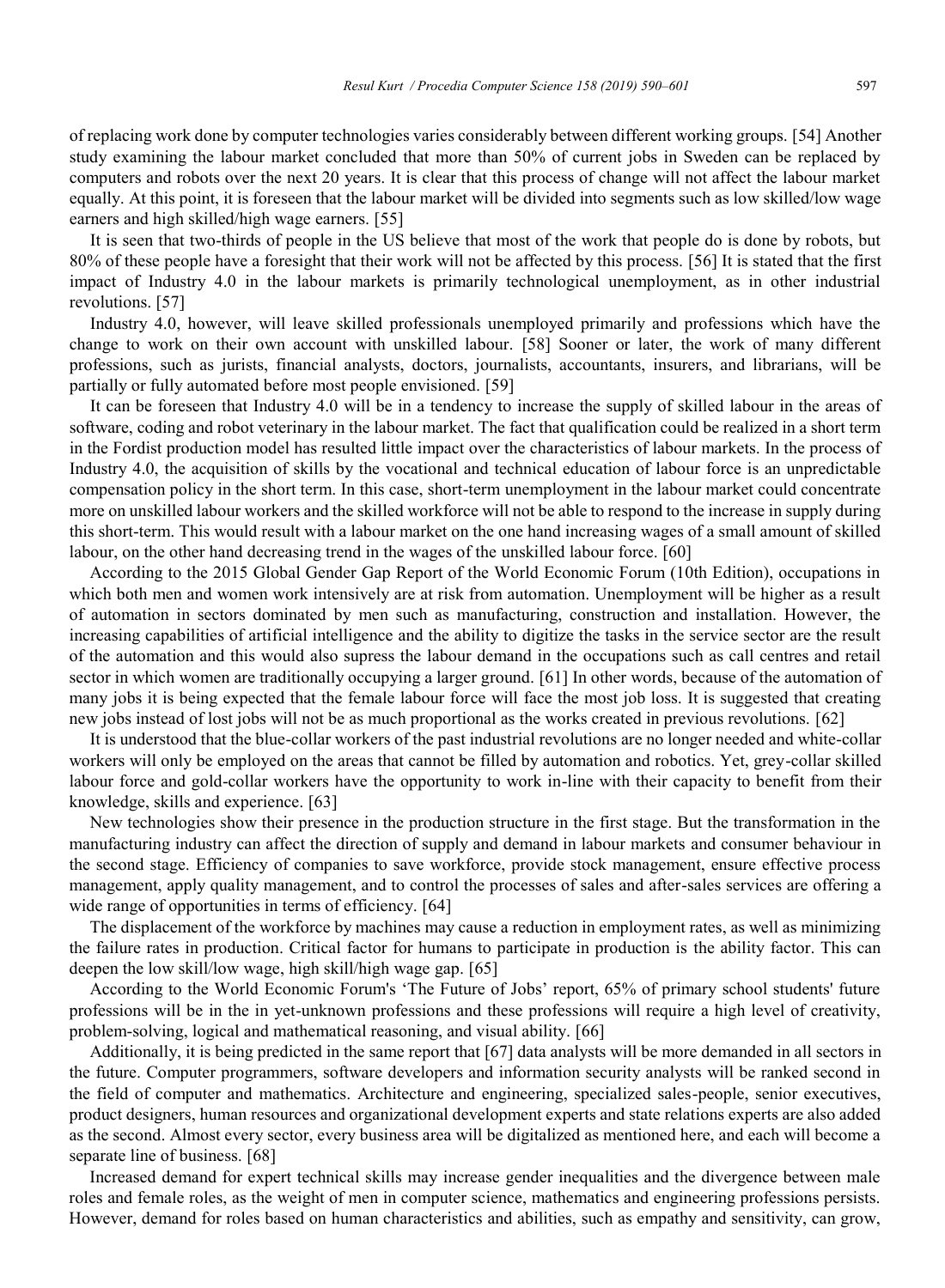of replacing work done by computer technologies varies considerably between different working groups. [54] Another study examining the labour market concluded that more than 50% of current jobs in Sweden can be replaced by computers and robots over the next 20 years. It is clear that this process of change will not affect the labour market equally. At this point, it is foreseen that the labour market will be divided into segments such as low skilled/low wage earners and high skilled/high wage earners. [55]

It is seen that two-thirds of people in the US believe that most of the work that people do is done by robots, but 80% of these people have a foresight that their work will not be affected by this process. [56] It is stated that the first impact of Industry 4.0 in the labour markets is primarily technological unemployment, as in other industrial revolutions. [57]

Industry 4.0, however, will leave skilled professionals unemployed primarily and professions which have the change to work on their own account with unskilled labour. [58] Sooner or later, the work of many different professions, such as jurists, financial analysts, doctors, journalists, accountants, insurers, and librarians, will be partially or fully automated before most people envisioned. [59]

It can be foreseen that Industry 4.0 will be in a tendency to increase the supply of skilled labour in the areas of software, coding and robot veterinary in the labour market. The fact that qualification could be realized in a short term in the Fordist production model has resulted little impact over the characteristics of labour markets. In the process of Industry 4.0, the acquisition of skills by the vocational and technical education of labour force is an unpredictable compensation policy in the short term. In this case, short-term unemployment in the labour market could concentrate more on unskilled labour workers and the skilled workforce will not be able to respond to the increase in supply during this short-term. This would result with a labour market on the one hand increasing wages of a small amount of skilled labour, on the other hand decreasing trend in the wages of the unskilled labour force. [60]

According to the 2015 Global Gender Gap Report of the World Economic Forum (10th Edition), occupations in which both men and women work intensively are at risk from automation. Unemployment will be higher as a result of automation in sectors dominated by men such as manufacturing, construction and installation. However, the increasing capabilities of artificial intelligence and the ability to digitize the tasks in the service sector are the result of the automation and this would also supress the labour demand in the occupations such as call centres and retail sector in which women are traditionally occupying a larger ground. [61] In other words, because of the automation of many jobs it is being expected that the female labour force will face the most job loss. It is suggested that creating new jobs instead of lost jobs will not be as much proportional as the works created in previous revolutions. [62]

It is understood that the blue-collar workers of the past industrial revolutions are no longer needed and white-collar workers will only be employed on the areas that cannot be filled by automation and robotics. Yet, grey-collar skilled labour force and gold-collar workers have the opportunity to work in-line with their capacity to benefit from their knowledge, skills and experience. [63]

New technologies show their presence in the production structure in the first stage. But the transformation in the manufacturing industry can affect the direction of supply and demand in labour markets and consumer behaviour in the second stage. Efficiency of companies to save workforce, provide stock management, ensure effective process management, apply quality management, and to control the processes of sales and after-sales services are offering a wide range of opportunities in terms of efficiency. [64]

The displacement of the workforce by machines may cause a reduction in employment rates, as well as minimizing the failure rates in production. Critical factor for humans to participate in production is the ability factor. This can deepen the low skill/low wage, high skill/high wage gap. [65]

According to the World Economic Forum's 'The Future of Jobs' report, 65% of primary school students' future professions will be in the in yet-unknown professions and these professions will require a high level of creativity, problem-solving, logical and mathematical reasoning, and visual ability. [66]

Additionally, it is being predicted in the same report that [67] data analysts will be more demanded in all sectors in the future. Computer programmers, software developers and information security analysts will be ranked second in the field of computer and mathematics. Architecture and engineering, specialized sales-people, senior executives, product designers, human resources and organizational development experts and state relations experts are also added as the second. Almost every sector, every business area will be digitalized as mentioned here, and each will become a separate line of business. [68]

Increased demand for expert technical skills may increase gender inequalities and the divergence between male roles and female roles, as the weight of men in computer science, mathematics and engineering professions persists. However, demand for roles based on human characteristics and abilities, such as empathy and sensitivity, can grow,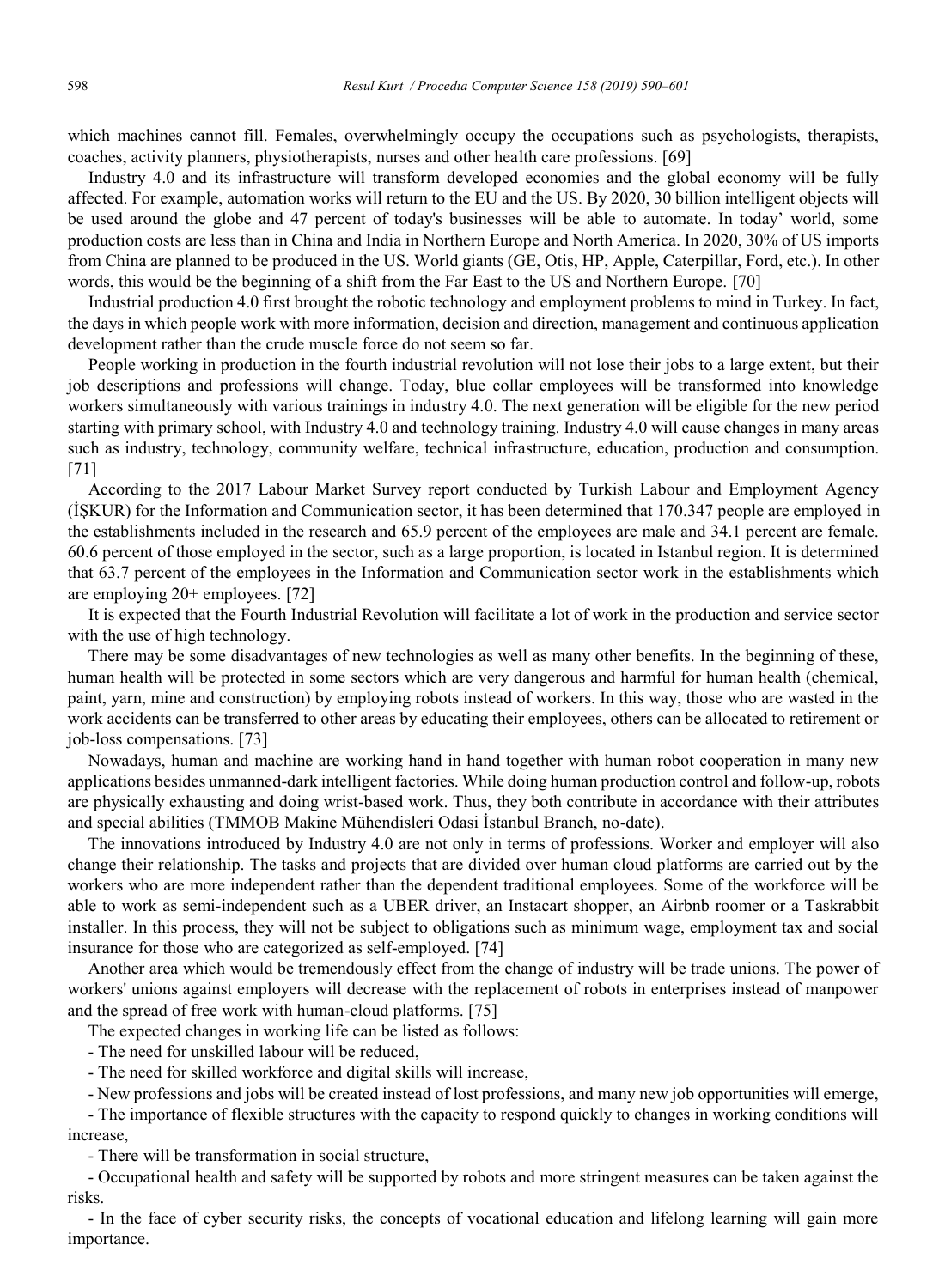which machines cannot fill. Females, overwhelmingly occupy the occupations such as psychologists, therapists, coaches, activity planners, physiotherapists, nurses and other health care professions. [69]

Industry 4.0 and its infrastructure will transform developed economies and the global economy will be fully affected. For example, automation works will return to the EU and the US. By 2020, 30 billion intelligent objects will be used around the globe and 47 percent of today's businesses will be able to automate. In today' world, some production costs are less than in China and India in Northern Europe and North America. In 2020, 30% of US imports from China are planned to be produced in the US. World giants (GE, Otis, HP, Apple, Caterpillar, Ford, etc.). In other words, this would be the beginning of a shift from the Far East to the US and Northern Europe. [70]

Industrial production 4.0 first brought the robotic technology and employment problems to mind in Turkey. In fact, the days in which people work with more information, decision and direction, management and continuous application development rather than the crude muscle force do not seem so far.

People working in production in the fourth industrial revolution will not lose their jobs to a large extent, but their job descriptions and professions will change. Today, blue collar employees will be transformed into knowledge workers simultaneously with various trainings in industry 4.0. The next generation will be eligible for the new period starting with primary school, with Industry 4.0 and technology training. Industry 4.0 will cause changes in many areas such as industry, technology, community welfare, technical infrastructure, education, production and consumption. [71]

According to the 2017 Labour Market Survey report conducted by Turkish Labour and Employment Agency (İŞKUR) for the Information and Communication sector, it has been determined that 170.347 people are employed in the establishments included in the research and 65.9 percent of the employees are male and 34.1 percent are female. 60.6 percent of those employed in the sector, such as a large proportion, is located in Istanbul region. It is determined that 63.7 percent of the employees in the Information and Communication sector work in the establishments which are employing 20+ employees. [72]

It is expected that the Fourth Industrial Revolution will facilitate a lot of work in the production and service sector with the use of high technology.

There may be some disadvantages of new technologies as well as many other benefits. In the beginning of these, human health will be protected in some sectors which are very dangerous and harmful for human health (chemical, paint, yarn, mine and construction) by employing robots instead of workers. In this way, those who are wasted in the work accidents can be transferred to other areas by educating their employees, others can be allocated to retirement or job-loss compensations. [73]

Nowadays, human and machine are working hand in hand together with human robot cooperation in many new applications besides unmanned-dark intelligent factories. While doing human production control and follow-up, robots are physically exhausting and doing wrist-based work. Thus, they both contribute in accordance with their attributes and special abilities (TMMOB Makine Mühendisleri Odasi İstanbul Branch, no-date).

The innovations introduced by Industry 4.0 are not only in terms of professions. Worker and employer will also change their relationship. The tasks and projects that are divided over human cloud platforms are carried out by the workers who are more independent rather than the dependent traditional employees. Some of the workforce will be able to work as semi-independent such as a UBER driver, an Instacart shopper, an Airbnb roomer or a Taskrabbit installer. In this process, they will not be subject to obligations such as minimum wage, employment tax and social insurance for those who are categorized as self-employed. [74]

Another area which would be tremendously effect from the change of industry will be trade unions. The power of workers' unions against employers will decrease with the replacement of robots in enterprises instead of manpower and the spread of free work with human-cloud platforms. [75]

The expected changes in working life can be listed as follows:

- The need for unskilled labour will be reduced,

- The need for skilled workforce and digital skills will increase,

- New professions and jobs will be created instead of lost professions, and many new job opportunities will emerge,

- The importance of flexible structures with the capacity to respond quickly to changes in working conditions will increase,

- There will be transformation in social structure,

- Occupational health and safety will be supported by robots and more stringent measures can be taken against the risks.

- In the face of cyber security risks, the concepts of vocational education and lifelong learning will gain more importance.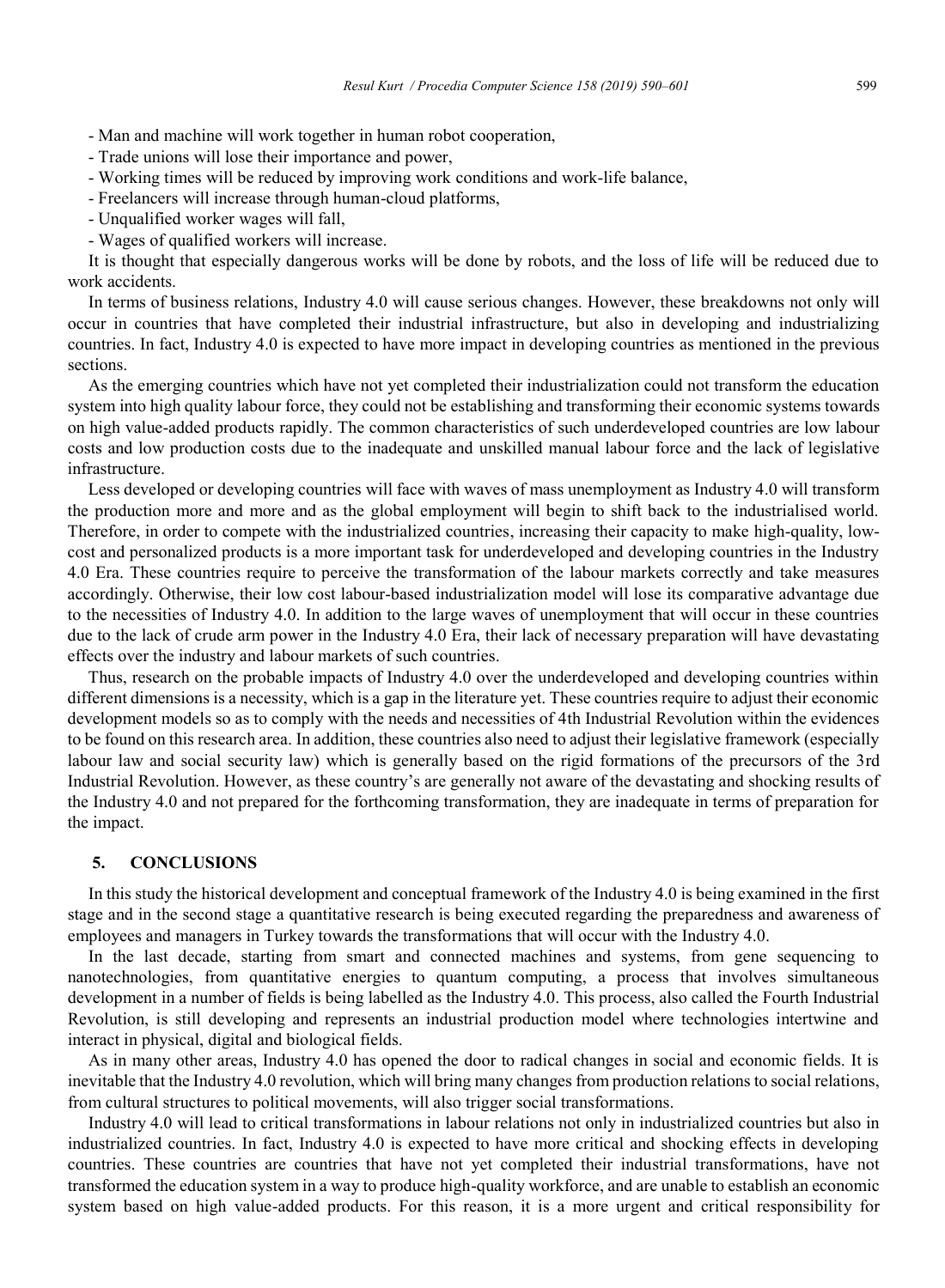- Man and machine will work together in human robot cooperation,
- Trade unions will lose their importance and power,
- Working times will be reduced by improving work conditions and work-life balance,
- Freelancers will increase through human-cloud platforms,
- Unqualified worker wages will fall,
- Wages of qualified workers will increase.

It is thought that especially dangerous works will be done by robots, and the loss of life will be reduced due to  $\sum_{i=1}^{n}$  for business relations,  $\sum_{i=1}^{n}$  will cause serious changes. However, these breakdowns not only will cause  $\sum_{i=1}^{n}$  will cause  $\sum_{i=1}^{n}$  will cause  $\sum_{i=1}^{n}$  will cause  $\sum_{i=1}^{n}$  will cause work accidents.

In terms of business relations, Industry 4.0 will cause serious changes. However, these breakdowns not only will occur in countries that have completed their industrial infrastructure, but also in developing and industrializing occur in countries that have completed their industrial infrastructure, but also in developing and industrializing<br>countries. In fact, Industry 4.0 is expected to have more impact in developing countries as mentioned in th  $A$ s the emerging countries which have not yet completed their industrialization could not transform the education could not transform the education could not transform the education could not transform the education coul sections.

As the emerging countries which have not yet completed their industrialization could not transform the education system into high quality labour force, they could not be establishing and transforming their economic systems towards system into high quality labour force, they could not be establishing and transforming their economic systems towards<br>on high value-added products rapidly. The common characteristics of such underdeveloped countries are lo costs and low production costs due to the inadequate and unskilled manual labour force and the lack of legislative Less developed or developed or developed or developed or developed or developed or  $\mathcal{L}$ infrastructure.

Less developed or developing countries will face with waves of mass unemployment as Industry 4.0 will transform Less developed or developing countries will face with waves of mass unemployment as Industry 4.0 will transform<br>the production more and more and as the global employment will begin to shift back to the industrialised world Therefore, in order to compete with the industrialized countries, increasing their capacity to make high-quality, lowcost and personalized products is a more important task for underdeveloped and developing countries in the Industry 4.0 Era. These countries require to perceive the transformation of the labour markets correctly and take measures accordingly. Otherwise, their low cost labour-based industrialization model will lose its comparative advantage due to the necessities of Industry 4.0. In addition to the large waves of unemployment that will occur in these countries due to the lack of crude arm power in the Industry 4.0 Era, their lack of necessary preparation will have devastating effects over the industry and labour markets of such countries. cost and personalized products is a more important task for underdeveloped and developing countries in the Industry 4.0 Era. These countries require to perceive the transformation of the labour markets correctly and take m

Thus, research on the probable impacts of Industry 4.0 over the underdeveloped and developing countries within different dimensions is a necessity, which is a gap in the literature yet. These countries require to adjust their economic development models so as to comply with the needs and necessities of 4th Industrial Revolution within the evidences to be found on this research area. In addition, these countries also need to adjust their legislative framework (especially labour law and social security law) which is generally based on the rigid formations of the precursors of the 3rd Industrial Revolution. However, as these country's are generally not aware of the devastating and shocking results of Industrial Revolution. However, as these country's are generally not aware of the devastating and shocking results of<br>the Industry 4.0 and not prepared for the forthcoming transformation, they are inadequate in terms of pr Thus, research on the probable impacts of Industry 4.0 over the underdeveloped and developing countries within<br>different dimensions is a necessity, which is a gap in the literature yet. These countries require to adjust th the impact.

### **5. CONCLUSIONS**

In this study the historical development and conceptual framework of the Industry 4.0 is being examined in the first stage and in the second stage a quantitative research is being executed regarding the preparedness and awareness of employees and managers in Turkey towards the transformations that will occur with the Industry 4.0. employees and managers in Turkey towards the transformations that will occur with the Industry 4.0.

In the last decade, starting from smart and connected machines and systems, from gene sequencing to nanotechnologies, from quantitative energies to quantum computing, a process that involves simultaneous development in a number of fields is being labelled as the Industry 4.0. This process, also called the Fourth Industrial Revolution, is still developing and represents an industrial production model where technologies intertwine and interact in physical, digital and biological fields. nanotechnologies, from quantitative energies to quantum computing, a process that involves simultaneous development in a number of fields is being labelled as the Industry 4.0. This process, also called the Fourth Industri

As in many other areas, Industry 4.0 has opened the door to radical changes in social and economic fields. It is inevitable that the Industry 4.0 revolution, which will bring many changes from production relations to social relations,<br>from cultural structures to political movements, will also trigger social transformations. from cultural structures to political movements, will also trigger social transformations.

Industry 4.0 will lead to critical transformations in labour relations not only in industrialized countries but also in industrialized countries. In fact, Industry 4.0 is expected to have more critical and shocking effects in developing countries. These countries are countries that have not yet completed their industrial transformations, have not transformed the education system in a way to produce high-quality workforce, and are unable to establish an economic system based on high value-added products. For this reason, it is a more urgent and critical responsibility for industrialized countries. In fact, Industry 4.0 is expected to have more critical and shocking effects in developing<br>countries. These countries are countries that have not yet completed their industrial transformations, ha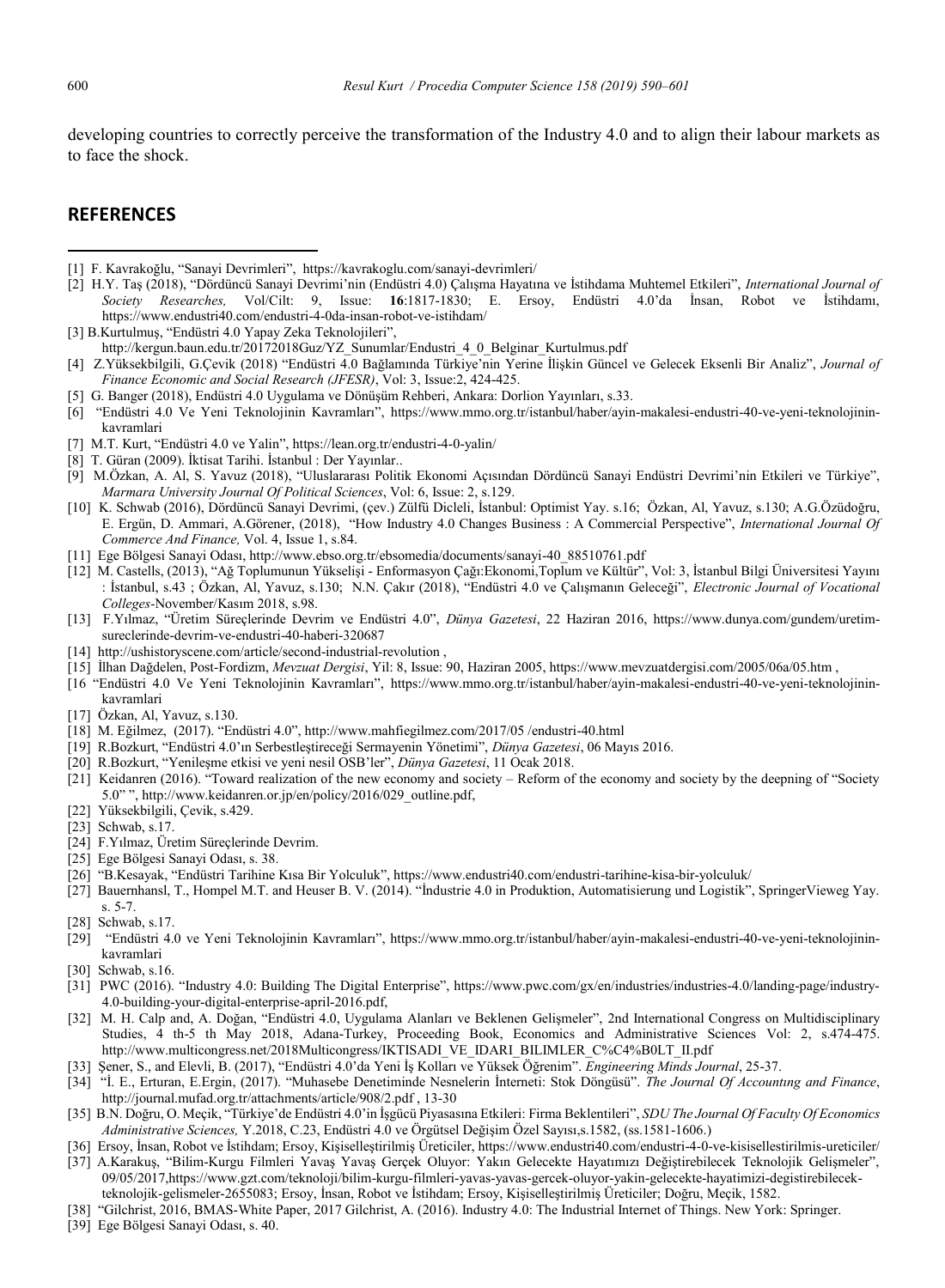developing countries to correctly perceive the transformation of the Industry 4.0 and to align their labour markets as to face the shock.

# **REFERENCES**

- [1] F. Kavrakoğlu, "Sanayi Devrimleri", https://kavrakoglu.com/sanayi-devrimleri/
- [2] H.Y. Taş (2018), "Dördüncü Sanayi Devrimi'nin (Endüstri 4.0) Çalışma Hayatına ve İstihdama Muhtemel Etkileri", *International Journal of Society Researches,* Vol/Cilt: 9, Issue: **16**:1817-1830; E. Ersoy, Endüstri 4.0'da İnsan, Robot ve İstihdamı, https://www.endustri40.com/endustri-4-0da-insan-robot-ve-istihdam/
- [3] B.Kurtulmuş, "Endüstri 4.0 Yapay Zeka Teknolojileri",
- http://kergun.baun.edu.tr/20172018Guz/YZ\_Sunumlar/Endustri\_4\_0\_Belginar\_Kurtulmus.pdf [4] Z.Yüksekbilgili, G.Çevik (2018) "Endüstri 4.0 Bağlamında Türkiye'nin Yerine İlişkin Güncel ve Gelecek Eksenli Bir Analiz", *Journal of*
- *Finance Economic and Social Research (JFESR)*, Vol: 3, Issue:2, 424-425.
- [5] G. Banger (2018), Endüstri 4.0 Uygulama ve Dönüşüm Rehberi, Ankara: Dorlion Yayınları, s.33.
- [6] "Endüstri 4.0 Ve Yeni Teknolojinin Kavramları", https://www.mmo.org.tr/istanbul/haber/ayin-makalesi-endustri-40-ve-yeni-teknolojininkavramlari
- [7] M.T. Kurt, "Endüstri 4.0 ve Yalin", https://lean.org.tr/endustri-4-0-yalin/
- [8] T. Güran (2009). İktisat Tarihi. İstanbul : Der Yayınlar..
- [9] M.Özkan, A. Al, S. Yavuz (2018), "Uluslararası Politik Ekonomi Açısından Dördüncü Sanayi Endüstri Devrimi'nin Etkileri ve Türkiye", *Marmara University Journal Of Political Sciences*, Vol: 6, Issue: 2, s.129.
- [10] K. Schwab (2016), Dördüncü Sanayi Devrimi, (çev.) Zülfü Dicleli, İstanbul: Optimist Yay. s.16; Özkan, Al, Yavuz, s.130; A.G.Özüdoğru, E. Ergün, D. Ammari, A.Görener, (2018), "How Industry 4.0 Changes Business : A Commercial Perspective", *International Journal Of Commerce And Finance,* Vol. 4, Issue 1, s.84.
- [11] Ege Bölgesi Sanayi Odası, http://www.ebso.org.tr/ebsomedia/documents/sanayi-40\_88510761.pdf
- [12] M. Castells, (2013), "Ağ Toplumunun Yükselişi Enformasyon Çağı:Ekonomi,Toplum ve Kültür", Vol: 3, İstanbul Bilgi Üniversitesi Yayını : İstanbul, s.43 ; Özkan, Al, Yavuz, s.130; N.N. Çakır (2018), "Endüstri 4.0 ve Çalışmanın Geleceği", *Electronic Journal of Vocational Colleges-*November/Kasım 2018, s.98.
- [13] F.Yılmaz, "Üretim Süreçlerinde Devrim ve Endüstri 4.0", *Dünya Gazetesi*, 22 Haziran 2016, https://www.dunya.com/gundem/uretimsureclerinde-devrim-ve-endustri-40-haberi-320687
- [14] http://ushistoryscene.com/article/second-industrial-revolution ,
- [15] İlhan Dağdelen, Post-Fordizm, *Mevzuat Dergisi*, Yil: 8, Issue: 90, Haziran 2005, https://www.mevzuatdergisi.com/2005/06a/05.htm ,
- [16 "Endüstri 4.0 Ve Yeni Teknolojinin Kavramları", https://www.mmo.org.tr/istanbul/haber/ayin-makalesi-endustri-40-ve-yeni-teknolojininkavramlari
- [17] Özkan, Al, Yavuz, s.130.
- [18] M. Eğilmez, (2017). "Endüstri 4.0", http://www.mahfiegilmez.com/2017/05 /endustri-40.html
- [19] R.Bozkurt, "Endüstri 4.0'ın Serbestleştireceği Sermayenin Yönetimi", *Dünya Gazetesi*, 06 Mayıs 2016.
- [20] R.Bozkurt, "Yenileşme etkisi ve yeni nesil OSB'ler", *Dünya Gazetesi*, 11 Ocak 2018.
- [21] Keidanren (2016). "Toward realization of the new economy and society Reform of the economy and society by the deepning of "Society 5.0" ", http://www.keidanren.or.jp/en/policy/2016/029\_outline.pdf,
- [22] Yüksekbilgili, Çevik, s.429.
- [23] Schwab, s.17.
- [24] F.Yılmaz, Üretim Süreçlerinde Devrim.
- [25] Ege Bölgesi Sanayi Odası, s. 38.
- [26] "B.Kesayak, "Endüstri Tarihine Kısa Bir Yolculuk", https://www.endustri40.com/endustri-tarihine-kisa-bir-yolculuk/
- [27] Bauernhansl, T., Hompel M.T. and Heuser B. V. (2014). "İndustrie 4.0 in Produktion, Automatisierung und Logistik", SpringerVieweg Yay. s. 5-7.
- [28] Schwab, s.17.
- [29] "Endüstri 4.0 ve Yeni Teknolojinin Kavramları", https://www.mmo.org.tr/istanbul/haber/ayin-makalesi-endustri-40-ve-yeni-teknolojininkavramlari
- [30] Schwab, s.16.
- [31] PWC (2016). "Industry 4.0: Building The Digital Enterprise", https://www.pwc.com/gx/en/industries/industries-4.0/landing-page/industry-4.0-building-your-digital-enterprise-april-2016.pdf,
- [32] M. H. Calp and, A. Doğan, "Endüstri 4.0, Uygulama Alanları ve Beklenen Gelişmeler", 2nd International Congress on Multidisciplinary Studies, 4 th-5 th May 2018, Adana-Turkey, Proceeding Book, Economics and Administrative Sciences Vol: 2, s.474-475. http://www.multicongress.net/2018Multicongress/IKTISADI\_VE\_IDARI\_BILIMLER\_C%C4%B0LT\_II.pdf
- [33] Şener, S., and Elevli, B. (2017), "Endüstri 4.0'da Yeni İş Kolları ve Yüksek Öğrenim". *Engineering Minds Journal*, 25-37.
- [34] "İ. E., Erturan, E.Ergin, (2017). "Muhasebe Denetiminde Nesnelerin İnterneti: Stok Döngüsü". *The Journal Of Accountıng and Finance*, http://journal.mufad.org.tr/attachments/article/908/2.pdf , 13-30
- [35] B.N. Doğru, O. Meçik, "Türkiye'de Endüstri 4.0'in İşgücü Piyasasına Etkileri: Firma Beklentileri", *SDU The Journal Of Faculty Of Economics Administrative Sciences,* Y.2018, C.23, Endüstri 4.0 ve Örgütsel Değişim Özel Sayısı,s.1582, (ss.1581-1606.)
- [36] Ersoy, İnsan, Robot ve İstihdam; Ersoy, Kişiselleştirilmiş Üreticiler, https://www.endustri40.com/endustri-4-0-ve-kisisellestirilmis-ureticiler/ [37] A.Karakuş, "Bilim-Kurgu Filmleri Yavaş Yavaş Gerçek Oluyor: Yakın Gelecekte Hayatımızı Değiştirebilecek Teknolojik Gelişmeler",
- 09/05/2017,https://www.gzt.com/teknoloji/bilim-kurgu-filmleri-yavas-yavas-gercek-oluyor-yakin-gelecekte-hayatimizi-degistirebilecekteknolojik-gelismeler-2655083; Ersoy, İnsan, Robot ve İstihdam; Ersoy, Kişiselleştirilmiş Üreticiler; Doğru, Meçik, 1582.
- [38] "Gilchrist, 2016, BMAS-White Paper, 2017 Gilchrist, A. (2016). Industry 4.0: The Industrial Internet of Things. New York: Springer.
- [39] Ege Bölgesi Sanayi Odası, s. 40.

**.**